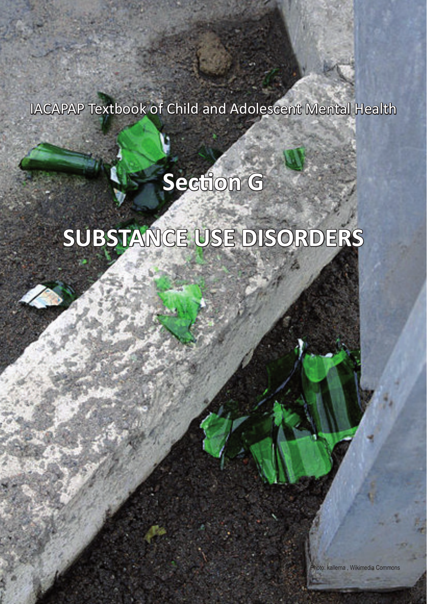IACAPAP Textbook of Child and Adolescent Mental Health

# **Section G**

# **SUBSTANCE USE DISORDERS**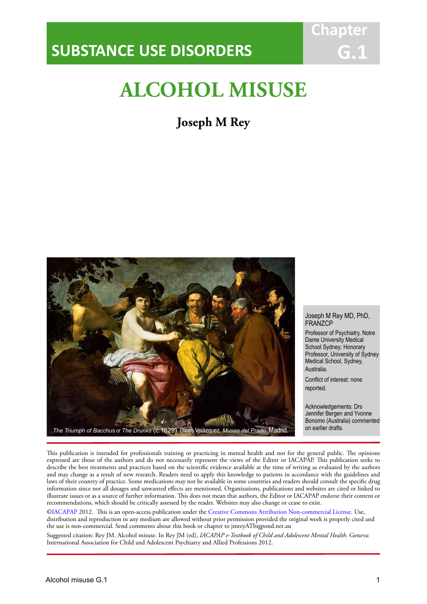## **SUBSTANCE USE DISORDERS**

## **ALCOHOL MISUSE**

IACAPAP Textbook of Child and Adolescent Mental Health

## **Joseph M Rey**



#### Joseph M Rey MD, PhD, **FRANZCP**

**Chapter**

**G.1**

Professor of Psychiatry, Notre Dame University Medical School Sydney; Honorary Professor, University of Sydney Medical School, Sydney, Australia.

Conflict of interest: none reported.

Acknowledgements: Drs Jennifer Bergen and Yvonne Bonomo (Australia) commented

This publication is intended for professionals training or practicing in mental health and not for the general public. The opinions expressed are those of the authors and do not necessarily represent the views of the Editor or IACAPAP. This publication seeks to describe the best treatments and practices based on the scientific evidence available at the time of writing as evaluated by the authors and may change as a result of new research. Readers need to apply this knowledge to patients in accordance with the guidelines and laws of their country of practice. Some medications may not be available in some countries and readers should consult the specific drug information since not all dosages and unwanted effects are mentioned. Organizations, publications and websites are cited or linked to illustrate issues or as a source of further information. This does not mean that authors, the Editor or IACAPAP endorse their content or recommendations, which should be critically assessed by the reader. Websites may also change or cease to exist.

[©IACAPAP](http://iacapap.org) 2012. This is an open-access publication under the [Creative Commons Attribution Non-commercial License](http://creativecommons.org). Use, distribution and reproduction in any medium are allowed without prior permission provided the original work is properly cited and the use is non-commercial. Send comments about this book or chapter to jmreyATbigpond.net.au

Suggested citation: Rey JM. Alcohol misuse. In Rey JM (ed), *IACAPAP e-Textbook of Child and Adolescent Mental Health*. Geneva: International Association for Child and Adolescent Psychiatry and Allied Professions 2012.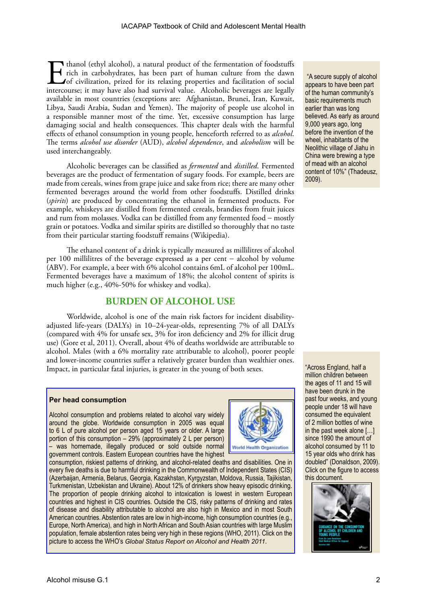Thanol (ethyl alcohol), a natural product of the fermentation of foodstuffs<br>rich in carbohydrates, has been part of human culture from the dawn<br>of civilization, prized for its relaxing properties and facilitation of social rich in carbohydrates, has been part of human culture from the dawn of civilization, prized for its relaxing properties and facilitation of social intercourse; it may have also had survival value. Alcoholic beverages are legally available in most countries (exceptions are: Afghanistan, Brunei, Iran, Kuwait, Libya, Saudi Arabia, Sudan and Yemen). The majority of people use alcohol in a responsible manner most of the time. Yet, excessive consumption has large damaging social and health consequences. This chapter deals with the harmful effects of ethanol consumption in young people, henceforth referred to as *alcohol*. The terms *alcohol use disorder* (AUD), *alcohol dependence*, and *alcoholism* will be used interchangeably.

Alcoholic beverages can be classified as *fermented* and *distilled*. Fermented beverages are the product of fermentation of sugary foods. For example, beers are made from cereals, wines from grape juice and sake from rice; there are many other fermented beverages around the world from other foodstuffs. Distilled drinks (*spirits*) are produced by concentrating the ethanol in fermented products. For example, whiskeys are distilled from fermented cereals, brandies from fruit juices and rum from molasses. Vodka can be distilled from any fermented food − mostly grain or potatoes. Vodka and similar spirits are distilled so thoroughly that no taste from their particular starting foodstuff remains (Wikipedia).

The ethanol content of a drink is typically measured as millilitres of alcohol per 100 millilitres of the beverage expressed as a per cent − alcohol by volume (ABV). For example, a beer with 6% alcohol contains 6mL of alcohol per 100mL. Fermented beverages have a maximum of 18%; the alcohol content of spirits is much higher (e.g., 40%-50% for whiskey and vodka).

## **BURDEN OF ALCOHOL USE**

Worldwide, alcohol is one of the main risk factors for incident disabilityadjusted life-years (DALYs) in 10–24-year-olds, representing 7% of all DALYs (compared with 4% for unsafe sex, 3% for iron deficiency and 2% for illicit drug use) (Gore et al, 2011). Overall, about 4% of deaths worldwide are attributable to alcohol. Males (with a 6% mortality rate attributable to alcohol), poorer people and lower-income countries suffer a relatively greater burden than wealthier ones. Impact, in particular fatal injuries, is greater in the young of both sexes.

#### **Per head consumption**

Alcohol consumption and problems related to alcohol vary widely around the globe. Worldwide consumption in 2005 was equal to 6 L of pure alcohol per person aged 15 years or older. A large portion of this consumption – 29% (approximately 2 L per person) – was homemade, illegally produced or sold outside normal government controls. Eastern European countries have the highest



consumption, riskiest patterns of drinking, and alcohol-related deaths and disabilities. One in every five deaths is due to harmful drinking in the Commonwealth of Independent States (CIS) (Azerbaijan, Armenia, Belarus, Georgia, Kazakhstan, Kyrgyzstan, Moldova, Russia, Tajikistan, Turkmenistan, Uzbekistan and Ukraine). About 12% of drinkers show heavy episodic drinking. The proportion of people drinking alcohol to intoxication is lowest in western European countries and highest in CIS countries. Outside the CIS, risky patterns of drinking and rates of disease and disability attributable to alcohol are also high in Mexico and in most South American countries. Abstention rates are low in high-income, high consumption countries (e.g., Europe, North America), and high in North African and South Asian countries with large Muslim population, female abstention rates being very high in these regions (WHO, 2011). Click on the picture to access the WHO's *Global Status Report on Alcohol and Health 2011*.

 "A secure supply of alcohol appears to have been part of the human community's basic requirements much earlier than was long believed. As early as around 9,000 years ago, long before the invention of the wheel, inhabitants of the Neolithic village of Jiahu in China were brewing a type of mead with an alcohol content of 10%" (Thadeusz, 2009).

"Across England, half a million children between the ages of 11 and 15 will have been drunk in the past four weeks, and young people under 18 will have consumed the equivalent of 2 million bottles of wine in the past week alone […] since 1990 the amount of alcohol consumed by 11 to 15 year olds who drink has doubled" (Donaldson, 2009). Click on the figure to access this document.

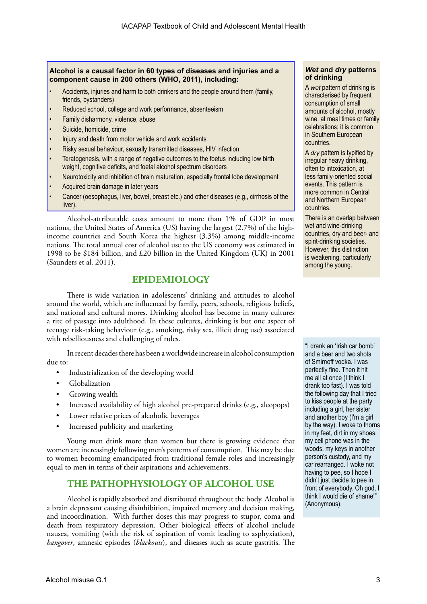## **Alcohol is a causal factor in 60 types of diseases and injuries and a component cause in 200 others (WHO, 2011), including:**

- Accidents, injuries and harm to both drinkers and the people around them (family, friends, bystanders)
- Reduced school, college and work performance, absenteeism
- Family disharmony, violence, abuse
- Suicide, homicide, crime
- Injury and death from motor vehicle and work accidents
- Risky sexual behaviour, sexually transmitted diseases, HIV infection
- Teratogenesis, with a range of negative outcomes to the foetus including low birth weight, cognitive deficits, and foetal alcohol spectrum disorders
- Neurotoxicity and inhibition of brain maturation, especially frontal lobe development
- Acquired brain damage in later years
- Cancer (oesophagus, liver, bowel, breast etc.) and other diseases (e.g., cirrhosis of the liver).

Alcohol-attributable costs amount to more than 1% of GDP in most nations, the United States of America (US) having the largest (2.7%) of the highincome countries and South Korea the highest (3.3%) among middle-income nations. The total annual cost of alcohol use to the US economy was estimated in 1998 to be \$184 billion, and £20 billion in the United Kingdom (UK) in 2001 (Saunders et al. 2011).

## **EPIDEMIOLOGY**

There is wide variation in adolescents' drinking and attitudes to alcohol around the world, which are influenced by family, peers, schools, religious beliefs, and national and cultural mores. Drinking alcohol has become in many cultures a rite of passage into adulthood. In these cultures, drinking is but one aspect of teenage risk-taking behaviour (e.g., smoking, risky sex, illicit drug use) associated with rebelliousness and challenging of rules.

In recent decades there has been a worldwide increase in alcohol consumption due to:

- Industrialization of the developing world
- Globalization
- Growing wealth
- Increased availability of high alcohol pre-prepared drinks (e.g., alcopops)
- Lower relative prices of alcoholic beverages
- Increased publicity and marketing

Young men drink more than women but there is growing evidence that women are increasingly following men's patterns of consumption. This may be due to women becoming emancipated from traditional female roles and increasingly equal to men in terms of their aspirations and achievements.

## **THE PATHOPHYSIOLOGY OF ALCOHOL USE**

Alcohol is rapidly absorbed and distributed throughout the body. Alcohol is a brain depressant causing disinhibition, impaired memory and decision making, and incoordination. With further doses this may progress to stupor, coma and death from respiratory depression. Other biological effects of alcohol include nausea, vomiting (with the risk of aspiration of vomit leading to asphyxiation), *hangover*, amnesic episodes (*blackouts*), and diseases such as acute gastritis. The

## *Wet* **and** *dry* **patterns of drinking**

A *wet* pattern of drinking is characterised by frequent consumption of small amounts of alcohol, mostly wine, at meal times or family celebrations; it is common in Southern European countries.

A *dry* pattern is typified by irregular heavy drinking, often to intoxication, at less family-oriented social events. This pattern is more common in Central and Northern European countries.

There is an overlap between wet and wine-drinking countries, dry and beer- and spirit-drinking societies. However, this distinction is weakening, particularly among the young.

"I drank an 'Irish car bomb' and a beer and two shots of Smirnoff vodka. I was perfectly fine. Then it hit me all at once (I think I drank too fast). I was told the following day that I tried to kiss people at the party including a girl, her sister and another boy (I'm a girl by the way). I woke to thorns in my feet, dirt in my shoes, my cell phone was in the woods, my keys in another person's custody, and my car rearranged. I woke not having to pee, so I hope I didn't just decide to pee in front of everybody. Oh god, I think I would die of shame!" (Anonymous).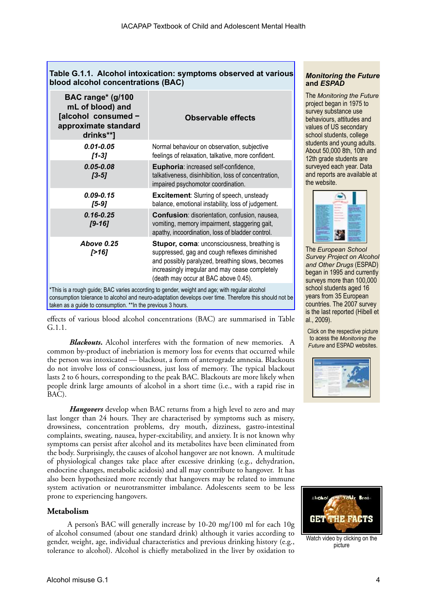| Table G.1.1. Alcohol intoxication: symptoms observed at various<br>blood alcohol concentrations (BAC)                                                                                                                                                                  |                                                                                                                                                                                                                                             |  |
|------------------------------------------------------------------------------------------------------------------------------------------------------------------------------------------------------------------------------------------------------------------------|---------------------------------------------------------------------------------------------------------------------------------------------------------------------------------------------------------------------------------------------|--|
| BAC range* (g/100<br>mL of blood) and<br>[alcohol consumed -<br>approximate standard<br>drinks**]                                                                                                                                                                      | <b>Observable effects</b>                                                                                                                                                                                                                   |  |
| $0.01 - 0.05$<br>$[1-3]$                                                                                                                                                                                                                                               | Normal behaviour on observation, subjective<br>feelings of relaxation, talkative, more confident.                                                                                                                                           |  |
| $0.05 - 0.08$<br>$[3-5]$                                                                                                                                                                                                                                               | Euphoria: increased self-confidence,<br>talkativeness, disinhibition, loss of concentration,<br>impaired psychomotor coordination.                                                                                                          |  |
| $0.09 - 0.15$<br>[5-9]                                                                                                                                                                                                                                                 | <b>Excitement:</b> Slurring of speech, unsteady<br>balance, emotional instability, loss of judgement.                                                                                                                                       |  |
| $0.16 - 0.25$<br>$[9 - 16]$                                                                                                                                                                                                                                            | Confusion: disorientation, confusion, nausea,<br>vomiting, memory impairment, staggering gait,<br>apathy, incoordination, loss of bladder control.                                                                                          |  |
| <b>Above 0.25</b><br>[>16]                                                                                                                                                                                                                                             | Stupor, coma: unconsciousness, breathing is<br>suppressed, gag and cough reflexes diminished<br>and possibly paralyzed, breathing slows, becomes<br>increasingly irregular and may cease completely<br>(death may occur at BAC above 0.45). |  |
| *This is a rough guide; BAC varies according to gender, weight and age; with regular alcohol<br>consumption tolerance to alcohol and neuro-adaptation develops over time. Therefore this should not be<br>taken as a guide to consumption. ** In the previous 3 hours. |                                                                                                                                                                                                                                             |  |

effects of various blood alcohol concentrations (BAC) are summarised in Table G.1.1.

*Blackouts***.** Alcohol interferes with the formation of new memories. A common by-product of inebriation is memory loss for events that occurred while the person was intoxicated — blackout, a form of anterograde amnesia. Blackouts do not involve loss of consciousness, just loss of memory. The typical blackout lasts 2 to 6 hours, corresponding to the peak BAC. Blackouts are more likely when people drink large amounts of alcohol in a short time (i.e., with a rapid rise in BAC).

*Hangovers* develop when BAC returns from a high level to zero and may last longer than 24 hours. They are characterised by symptoms such as misery, drowsiness, concentration problems, dry mouth, dizziness, gastro-intestinal complaints, sweating, nausea, hyper-excitability, and anxiety. It is not known why symptoms can persist after alcohol and its metabolites have been eliminated from the body. Surprisingly, the causes of alcohol hangover are not known. A multitude of physiological changes take place after excessive drinking (e.g., dehydration, endocrine changes, metabolic acidosis) and all may contribute to hangover. It has also been hypothesized more recently that hangovers may be related to immune system activation or neurotransmitter imbalance. Adolescents seem to be less prone to experiencing hangovers.

## **Metabolism**

A person's BAC will generally increase by 10-20 mg/100 ml for each 10g of alcohol consumed (about one standard drink) although it varies according to gender, weight, age, individual characteristics and previous drinking history (e.g., tolerance to alcohol). Alcohol is chiefly metabolized in the liver by oxidation to

## *Monitoring the Future*  **and** *ESPAD*

The *Monitoring the Future*  project began in 1975 to survey substance use behaviours, attitudes and values of US secondary school students, college students and young adults. About 50,000 8th, 10th and 12th grade students are surveyed each year. Data and reports are available at the website.



The *European School Survey Project on Alcohol and Other Drugs* (ESPAD) began in 1995 and currently surveys more than 100,000 school students aged 16 years from 35 European countries. The 2007 survey is the last reported (Hibell et al., 2009).

Click on the respective picture to acess the *Monitoring the Future* and ESPAD websites.





Watch video by clicking on the picture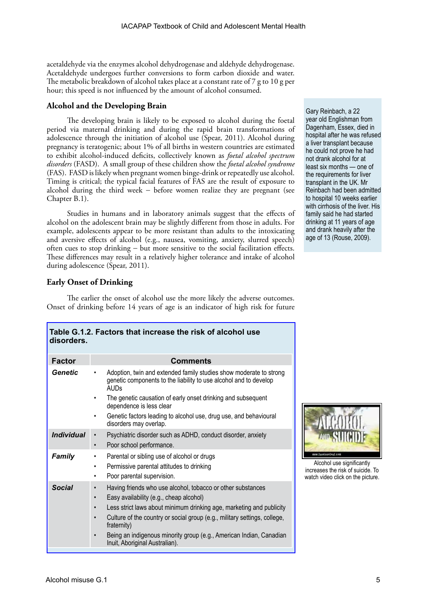acetaldehyde via the enzymes alcohol dehydrogenase and aldehyde dehydrogenase. Acetaldehyde undergoes further conversions to form carbon dioxide and water. The metabolic breakdown of alcohol takes place at a constant rate of 7 g to 10 g per hour; this speed is not influenced by the amount of alcohol consumed.

## **Alcohol and the Developing Brain**

The developing brain is likely to be exposed to alcohol during the foetal period via maternal drinking and during the rapid brain transformations of adolescence through the initiation of alcohol use (Spear, 2011). Alcohol during pregnancy is teratogenic; about 1% of all births in western countries are estimated to exhibit alcohol-induced deficits, collectively known as *foetal alcohol spectrum disorders* (FASD). A small group of these children show the *foetal alcohol syndrome* (FAS). FASD is likely when pregnant women binge-drink or repeatedly use alcohol. Timing is critical; the typical facial features of FAS are the result of exposure to alcohol during the third week − before women realize they are pregnant (see Chapter B.1).

Studies in humans and in laboratory animals suggest that the effects of alcohol on the adolescent brain may be slightly different from those in adults. For example, adolescents appear to be more resistant than adults to the intoxicating and aversive effects of alcohol (e.g., nausea, vomiting, anxiety, slurred speech) often cues to stop drinking − but more sensitive to the social facilitation effects. These differences may result in a relatively higher tolerance and intake of alcohol during adolescence (Spear, 2011).

## **Early Onset of Drinking**

The earlier the onset of alcohol use the more likely the adverse outcomes. Onset of drinking before 14 years of age is an indicator of high risk for future

**Table G.1.2. Factors that increase the risk of alcohol use** 

| TAME O. I.Z. I ACIOIS LIIAL IIICI GASG LIIG TISK OF AICOHOF ASG<br>disorders. |                                                                                                                                                                                                                                                                                                                                                                                     |  |  |
|-------------------------------------------------------------------------------|-------------------------------------------------------------------------------------------------------------------------------------------------------------------------------------------------------------------------------------------------------------------------------------------------------------------------------------------------------------------------------------|--|--|
| <b>Factor</b>                                                                 | <b>Comments</b>                                                                                                                                                                                                                                                                                                                                                                     |  |  |
| Genetic                                                                       | Adoption, twin and extended family studies show moderate to strong<br>genetic components to the liability to use alcohol and to develop<br><b>AUDs</b>                                                                                                                                                                                                                              |  |  |
|                                                                               | The genetic causation of early onset drinking and subsequent<br>dependence is less clear                                                                                                                                                                                                                                                                                            |  |  |
|                                                                               | Genetic factors leading to alcohol use, drug use, and behavioural<br>disorders may overlap.                                                                                                                                                                                                                                                                                         |  |  |
| <b>Individual</b>                                                             | Psychiatric disorder such as ADHD, conduct disorder, anxiety<br>Poor school performance.<br>$\bullet$                                                                                                                                                                                                                                                                               |  |  |
| <b>Family</b>                                                                 | Parental or sibling use of alcohol or drugs<br>Permissive parental attitudes to drinking<br>٠<br>Poor parental supervision.                                                                                                                                                                                                                                                         |  |  |
| <b>Social</b>                                                                 | Having friends who use alcohol, tobacco or other substances<br>Easy availability (e.g., cheap alcohol)<br>Less strict laws about minimum drinking age, marketing and publicity<br>Culture of the country or social group (e.g., military settings, college,<br>fraternity)<br>Being an indigenous minority group (e.g., American Indian, Canadian<br>Inuit, Aboriginal Australian). |  |  |

Gary Reinbach, a 22 year old Englishman from Dagenham, Essex, died in hospital after he was refused a liver transplant because he could not prove he had not drank alcohol for at least six months — one of the requirements for liver transplant in the UK. Mr Reinbach had been admitted to hospital 10 weeks earlier with cirrhosis of the liver. His family said he had started drinking at 11 years of age and drank heavily after the age of 13 (Rouse, 2009).



Alcohol use significantly increases the risk of suicide. To watch video click on the picture.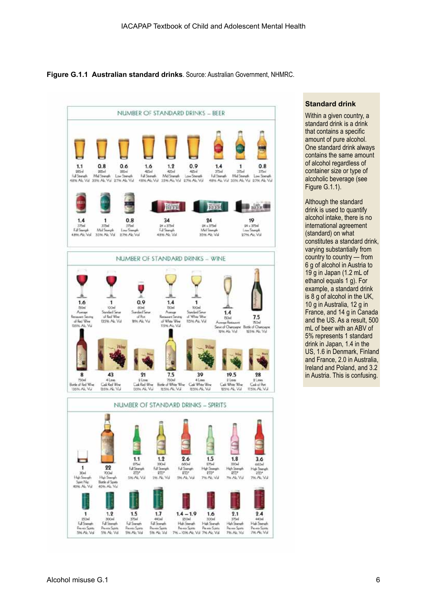**Figure G.1.1 Australian standard drinks**. Source: Australian Government, NHMRC.



## **Standard drink**

Within a given country, a standard drink is a drink that contains a specific amount of pure alcohol. One standard drink always contains the same amount of alcohol regardless of container size or type of alcoholic beverage (see Figure G.1.1).

Although the standard drink is used to quantify alcohol intake, there is no international agreement (standard) on what constitutes a standard drink, varying substantially from country to country — from 6 g of alcohol in Austria to 19 g in Japan (1.2 mL of ethanol equals 1 g). For example, a standard drink is 8 g of alcohol in the UK, 10 g in Australia, 12 g in France, and 14 g in Canada and the US. As a result, 500 mL of beer with an ABV of 5% represents 1 standard drink in Japan, 1.4 in the US, 1.6 in Denmark, Finland and France, 2.0 in Australia, Ireland and Poland, and 3.2 in Austria. This is confusing.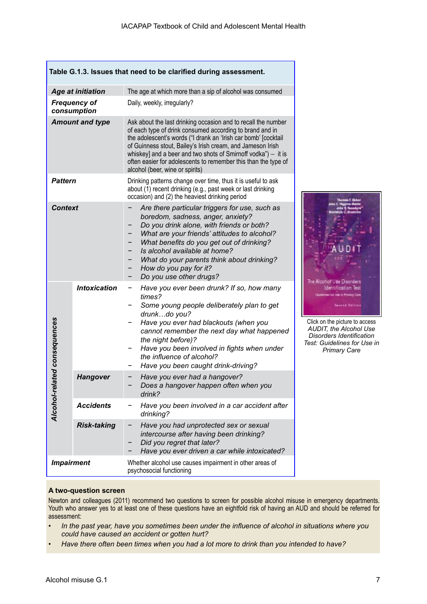| Table G.1.3. Issues that need to be clarified during assessment. |                                    |                                                                                                                                                                                                                                                                                                                                                                                                                                   |  |
|------------------------------------------------------------------|------------------------------------|-----------------------------------------------------------------------------------------------------------------------------------------------------------------------------------------------------------------------------------------------------------------------------------------------------------------------------------------------------------------------------------------------------------------------------------|--|
|                                                                  | <b>Age at initiation</b>           | The age at which more than a sip of alcohol was consumed                                                                                                                                                                                                                                                                                                                                                                          |  |
|                                                                  | <b>Frequency of</b><br>consumption | Daily, weekly, irregularly?                                                                                                                                                                                                                                                                                                                                                                                                       |  |
| <b>Amount and type</b>                                           |                                    | Ask about the last drinking occasion and to recall the number<br>of each type of drink consumed according to brand and in<br>the adolescent's words ("I drank an 'Irish car bomb' [cocktail<br>of Guinness stout, Bailey's Irish cream, and Jameson Irish<br>whiskey] and a beer and two shots of Smirnoff vodka") $-$ it is<br>often easier for adolescents to remember this than the type of<br>alcohol (beer, wine or spirits) |  |
| <b>Pattern</b>                                                   |                                    | Drinking patterns change over time, thus it is useful to ask<br>about (1) recent drinking (e.g., past week or last drinking<br>occasion) and (2) the heaviest drinking period                                                                                                                                                                                                                                                     |  |
| <b>Context</b>                                                   |                                    | Are there particular triggers for use, such as<br>boredom, sadness, anger, anxiety?<br>Do you drink alone, with friends or both?<br>What are your friends' attitudes to alcohol?<br>What benefits do you get out of drinking?<br>Is alcohol available at home?<br>What do your parents think about drinking?<br>How do you pay for it?<br>Do you use other drugs?                                                                 |  |
| lated consequences<br>Alcohol-re                                 | <b>Intoxication</b>                | Have you ever been drunk? If so, how many<br>times?<br>Some young people deliberately plan to get<br>drunkdo you?<br>Have you ever had blackouts (when you<br>cannot remember the next day what happened<br>the night before)?<br>Have you been involved in fights when under<br>the influence of alcohol?<br>Have you been caught drink-driving?                                                                                 |  |
|                                                                  | <b>Hangover</b>                    | Have you ever had a hangover?<br>Does a hangover happen often when you<br>drink?                                                                                                                                                                                                                                                                                                                                                  |  |
|                                                                  | <b>Accidents</b>                   | Have you been involved in a car accident after<br>drinking?                                                                                                                                                                                                                                                                                                                                                                       |  |
|                                                                  | <b>Risk-taking</b>                 | Have you had unprotected sex or sexual<br>intercourse after having been drinking?<br>Did you regret that later?<br>Have you ever driven a car while intoxicated?                                                                                                                                                                                                                                                                  |  |
| <b>Impairment</b>                                                |                                    | Whether alcohol use causes impairment in other areas of<br>psychosocial functioning                                                                                                                                                                                                                                                                                                                                               |  |

## **A two-question screen**

Newton and colleagues (2011) recommend two questions to screen for possible alcohol misuse in emergency departments. Youth who answer yes to at least one of these questions have an eightfold risk of having an AUD and should be referred for assessment:

- *• In the past year, have you sometimes been under the influence of alcohol in situations where you could have caused an accident or gotten hurt?*
- *• Have there often been times when you had a lot more to drink than you intended to have?*

Click on the picture to access *AUDIT, the Alcohol Use Disorders Identification Test: Guidelines for Use in Primary Care*

The Alcohol Use Disorders **Identification Test** es to the in Primary Care **Second Editors** 

AUD<sub>1</sub>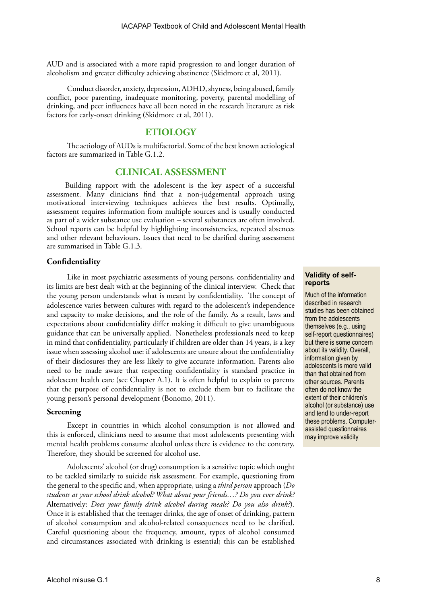AUD and is associated with a more rapid progression to and longer duration of alcoholism and greater difficulty achieving abstinence (Skidmore et al, 2011).

Conduct disorder, anxiety, depression, ADHD, shyness, being abused, family conflict, poor parenting, inadequate monitoring, poverty, parental modelling of drinking, and peer influences have all been noted in the research literature as risk factors for early-onset drinking (Skidmore et al, 2011).

## **ETIOLOGY**

The aetiology of AUDs is multifactorial. Some of the best known aetiological factors are summarized in Table G.1.2.

## **CLINICAL ASSESSMENT**

Building rapport with the adolescent is the key aspect of a successful assessment. Many clinicians find that a non-judgemental approach using motivational interviewing techniques achieves the best results. Optimally, assessment requires information from multiple sources and is usually conducted as part of a wider substance use evaluation – several substances are often involved. School reports can be helpful by highlighting inconsistencies, repeated absences and other relevant behaviours. Issues that need to be clarified during assessment are summarised in Table G.1.3.

## **Confidentiality**

Like in most psychiatric assessments of young persons, confidentiality and its limits are best dealt with at the beginning of the clinical interview. Check that the young person understands what is meant by confidentiality. The concept of adolescence varies between cultures with regard to the adolescent's independence and capacity to make decisions, and the role of the family. As a result, laws and expectations about confidentiality differ making it difficult to give unambiguous guidance that can be universally applied. Nonetheless professionals need to keep in mind that confidentiality, particularly if children are older than 14 years, is a key issue when assessing alcohol use: if adolescents are unsure about the confidentiality of their disclosures they are less likely to give accurate information. Parents also need to be made aware that respecting confidentiality is standard practice in adolescent health care (see Chapter A.1). It is often helpful to explain to parents that the purpose of confidentiality is not to exclude them but to facilitate the young person's personal development (Bonomo, 2011).

## **Screening**

Except in countries in which alcohol consumption is not allowed and this is enforced, clinicians need to assume that most adolescents presenting with mental health problems consume alcohol unless there is evidence to the contrary. Therefore, they should be screened for alcohol use.

Adolescents' alcohol (or drug) consumption is a sensitive topic which ought to be tackled similarly to suicide risk assessment. For example, questioning from the general to the specific and, when appropriate, using a *third person* approach (*Do students at your school drink alcohol? What about your friends…? Do you ever drink?* Alternatively: *Does your family drink alcohol during meals? Do you also drink?*). Once it is established that the teenager drinks, the age of onset of drinking, pattern of alcohol consumption and alcohol-related consequences need to be clarified. Careful questioning about the frequency, amount, types of alcohol consumed and circumstances associated with drinking is essential; this can be established

#### **Validity of selfreports**

Much of the information described in research studies has been obtained from the adolescents themselves (e.g., using self-report questionnaires) but there is some concern about its validity. Overall, information given by adolescents is more valid than that obtained from other sources. Parents often do not know the extent of their children's alcohol (or substance) use and tend to under-report these problems. Computerassisted questionnaires may improve validity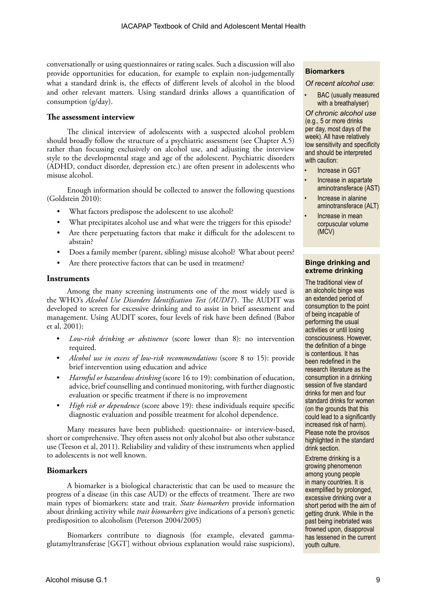conversationally or using questionnaires or rating scales. Such a discussion will also provide opportunities for education, for example to explain non-judgementally what a standard drink is, the effects of different levels of alcohol in the blood and other relevant matters. Using standard drinks allows a quantification of consumption (g/day).

## **The assessment interview**

The clinical interview of adolescents with a suspected alcohol problem should broadly follow the structure of a psychiatric assessment (see Chapter A.5) rather than focussing exclusively on alcohol use, and adjusting the interview style to the developmental stage and age of the adolescent. Psychiatric disorders (ADHD, conduct disorder, depression etc.) are often present in adolescents who misuse alcohol.

Enough information should be collected to answer the following questions (Goldstein 2010):

- What factors predispose the adolescent to use alcohol?
- What precipitates alcohol use and what were the triggers for this episode?
- Are there perpetuating factors that make it difficult for the adolescent to abstain?
- Does a family member (parent, sibling) misuse alcohol? What about peers?
- Are there protective factors that can be used in treatment?

## **Instruments**

Among the many screening instruments one of the most widely used is the WHO's *Alcohol Use Disorders Identification Test (AUDIT*). The AUDIT was developed to screen for excessive drinking and to assist in brief assessment and management. Using AUDIT scores, four levels of risk have been defined (Babor et al, 2001):

- *• Low-risk drinking or abstinence* (score lower than 8): no intervention required.
- *• Alcohol use in excess of low-risk recommendations* (score 8 to 15): provide brief intervention using education and advice
- *• Harmful or hazardous drinking* (score 16 to 19): combination of education, advice, brief counselling and continued monitoring, with further diagnostic evaluation or specific treatment if there is no improvement
- *High risk or dependence* (score above 19): these individuals require specific diagnostic evaluation and possible treatment for alcohol dependence.

Many measures have been published: questionnaire- or interview-based, short or comprehensive. They often assess not only alcohol but also other substance use (Teeson et al, 2011). Reliability and validity of these instruments when applied to adolescents is not well known.

## **Biomarkers**

A biomarker is a biological characteristic that can be used to measure the progress of a disease (in this case AUD) or the effects of treatment. There are two main types of biomarkers: state and trait. *State biomarkers* provide information about drinking activity while *trait biomarkers* give indications of a person's genetic predisposition to alcoholism (Peterson 2004/2005)

Biomarkers contribute to diagnosis (for example, elevated gammaglutamyltransferase [GGT] without obvious explanation would raise suspicions),

## **Biomarkers**

#### *Of recent alcohol use*:

• BAC (usually measured with a breathalyser)

*Of chronic alcohol use* (e.g., 5 or more drinks per day, most days of the week). All have relatively low sensitivity and specificity and should be interpreted with caution:

- Increase in GGT
- Increase in aspartate aminotransferace (AST)
- Increase in alanine aminotransferace (ALT)
- Increase in mean corpuscular volume (MCV)

## **Binge drinking and extreme drinking**

The traditional view of an alcoholic binge was an extended period of consumption to the point of being incapable of performing the usual activities or until losing consciousness. However, the definition of a binge is contentious. It has been redefined in the research literature as the consumption in a drinking session of five standard drinks for men and four standard drinks for women (on the grounds that this could lead to a significantly increased risk of harm). Please note the provisos highlighted in the standard drink section.

Extreme drinking is a growing phenomenon among young people in many countries. It is exemplified by prolonged, excessive drinking over a short period with the aim of getting drunk. While in the past being inebriated was frowned upon, disapproval has lessened in the current youth culture.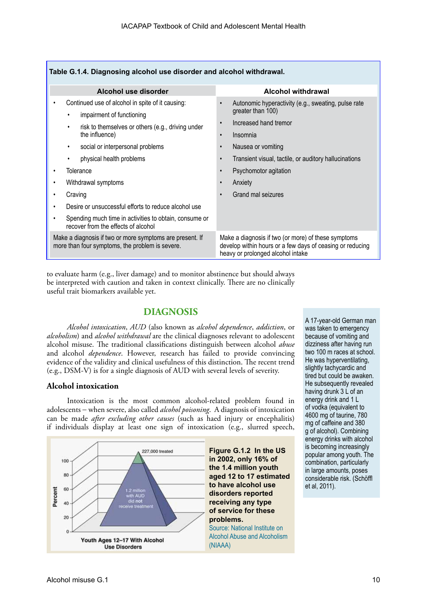| Table G.1.4. Diagnosing alcohol use disorder and alcohol withdrawal.                                                                                                                                                                                                                                                                                                                                      |                                                                                                                                                                                                                                                                                                                         |  |  |
|-----------------------------------------------------------------------------------------------------------------------------------------------------------------------------------------------------------------------------------------------------------------------------------------------------------------------------------------------------------------------------------------------------------|-------------------------------------------------------------------------------------------------------------------------------------------------------------------------------------------------------------------------------------------------------------------------------------------------------------------------|--|--|
| Alcohol use disorder                                                                                                                                                                                                                                                                                                                                                                                      | <b>Alcohol withdrawal</b>                                                                                                                                                                                                                                                                                               |  |  |
| Continued use of alcohol in spite of it causing:<br>impairment of functioning<br>٠<br>risk to themselves or others (e.g., driving under<br>٠<br>the influence)<br>social or interpersonal problems<br>٠<br>physical health problems<br>٠<br>Tolerance<br>Withdrawal symptoms<br>Craving<br>Desire or unsuccessful efforts to reduce alcohol use<br>Spending much time in activities to obtain, consume or | Autonomic hyperactivity (e.g., sweating, pulse rate<br>greater than 100)<br>Increased hand tremor<br>$\bullet$<br>Insomnia<br>$\bullet$<br>Nausea or vomiting<br>$\bullet$<br>Transient visual, tactile, or auditory hallucinations<br>$\bullet$<br>Psychomotor agitation<br>$\bullet$<br>Anxiety<br>Grand mal seizures |  |  |
| recover from the effects of alcohol<br>Make a diagnosis if two or more symptoms are present. If<br>more than four symptoms, the problem is severe.                                                                                                                                                                                                                                                        | Make a diagnosis if two (or more) of these symptoms<br>develop within hours or a few days of ceasing or reducing<br>heavy or prolonged alcohol intake                                                                                                                                                                   |  |  |

to evaluate harm (e.g., liver damage) and to monitor abstinence but should always be interpreted with caution and taken in context clinically. There are no clinically useful trait biomarkers available yet.

## **DIAGNOSIS**

*Alcohol intoxication*, *AUD* (also known as *alcohol dependence*, *addiction*, or *alcoholism*) and *alcohol withdrawal* are the clinical diagnoses relevant to adolescent alcohol misuse. The traditional classifications distinguish between alcohol *abuse* and alcohol *dependence*. However, research has failed to provide convincing evidence of the validity and clinical usefulness of this distinction. The recent trend (e.g., DSM-V) is for a single diagnosis of AUD with several levels of severity.

## **Alcohol intoxication**

Intoxication is the most common alcohol-related problem found in adolescents − when severe, also called *alcohol poisoning*. A diagnosis of intoxication can be made *after excluding other causes* (such as haed injury or encephalitis) if individuals display at least one sign of intoxication (e.g., slurred speech,



A 17-year-old German man was taken to emergency because of vomiting and dizziness after having run two 100 m races at school. He was hyperventilating, slightly tachycardic and tired but could be awaken. He subsequently revealed having drunk 3 L of an energy drink and 1 L of vodka (equivalent to 4600 mg of taurine, 780 mg of caffeine and 380 g of alcohol). Combining energy drinks with alcohol is becoming increasingly popular among youth. The combination, particularly in large amounts, poses considerable risk. (Schöffl et al, 2011).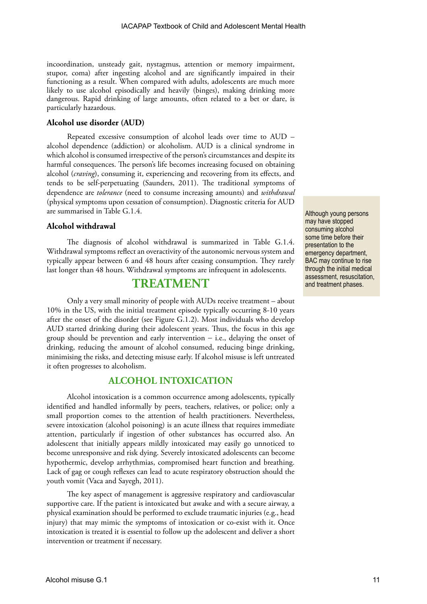incoordination, unsteady gait, nystagmus, attention or memory impairment, stupor, coma) after ingesting alcohol and are significantly impaired in their functioning as a result. When compared with adults, adolescents are much more likely to use alcohol episodically and heavily (binges), making drinking more dangerous. Rapid drinking of large amounts, often related to a bet or dare, is particularly hazardous.

## **Alcohol use disorder (AUD)**

Repeated excessive consumption of alcohol leads over time to AUD – alcohol dependence (addiction) or alcoholism. AUD is a clinical syndrome in which alcohol is consumed irrespective of the person's circumstances and despite its harmful consequences. The person's life becomes increasing focused on obtaining alcohol (*craving*), consuming it, experiencing and recovering from its effects, and tends to be self-perpetuating (Saunders, 2011). The traditional symptoms of dependence are *tolerance* (need to consume increasing amounts) and *withdrawal* (physical symptoms upon cessation of consumption). Diagnostic criteria for AUD are summarised in Table G.1.4.

## **Alcohol withdrawal**

The diagnosis of alcohol withdrawal is summarized in Table G.1.4. Withdrawal symptoms reflect an overactivity of the autonomic nervous system and typically appear between 6 and 48 hours after ceasing consumption. They rarely last longer than 48 hours. Withdrawal symptoms are infrequent in adolescents.

## **TREATMENT**

Only a very small minority of people with AUDs receive treatment – about 10% in the US, with the initial treatment episode typically occurring 8-10 years after the onset of the disorder (see Figure G.1.2). Most individuals who develop AUD started drinking during their adolescent years. Thus, the focus in this age group should be prevention and early intervention − i.e., delaying the onset of drinking, reducing the amount of alcohol consumed, reducing binge drinking, minimising the risks, and detecting misuse early. If alcohol misuse is left untreated it often progresses to alcoholism.

## **ALCOHOL INTOXICATION**

Alcohol intoxication is a common occurrence among adolescents, typically identified and handled informally by peers, teachers, relatives, or police; only a small proportion comes to the attention of health practitioners. Nevertheless, severe intoxication (alcohol poisoning) is an acute illness that requires immediate attention, particularly if ingestion of other substances has occurred also. An adolescent that initially appears mildly intoxicated may easily go unnoticed to become unresponsive and risk dying. Severely intoxicated adolescents can become hypothermic, develop arrhythmias, compromised heart function and breathing. Lack of gag or cough reflexes can lead to acute respiratory obstruction should the youth vomit (Vaca and Sayegh, 2011).

The key aspect of management is aggressive respiratory and cardiovascular supportive care. If the patient is intoxicated but awake and with a secure airway, a physical examination should be performed to exclude traumatic injuries (e.g., head injury) that may mimic the symptoms of intoxication or co-exist with it. Once intoxication is treated it is essential to follow up the adolescent and deliver a short intervention or treatment if necessary.

Although young persons may have stopped consuming alcohol some time before their presentation to the emergency department, BAC may continue to rise through the initial medical assessment, resuscitation, and treatment phases.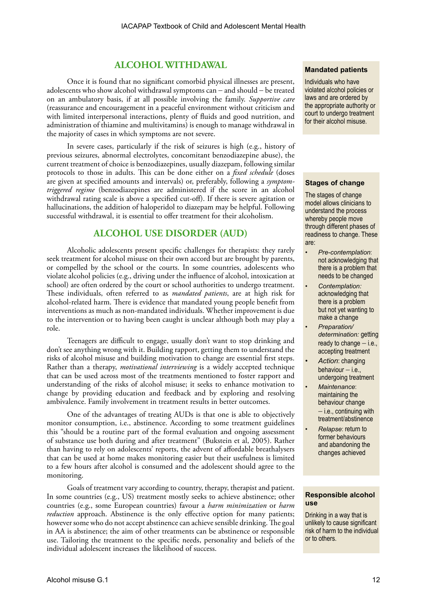## **ALCOHOL WITHDAWAL**

Once it is found that no significant comorbid physical illnesses are present, adolescents who show alcohol withdrawal symptoms can − and should − be treated on an ambulatory basis, if at all possible involving the family. *Supportive care* (reassurance and encouragement in a peaceful environment without criticism and with limited interpersonal interactions, plenty of fluids and good nutrition, and administration of thiamine and multivitamins) is enough to manage withdrawal in the majority of cases in which symptoms are not severe.

In severe cases, particularly if the risk of seizures is high (e.g., history of previous seizures, abnormal electrolytes, concomitant benzodiazepine abuse), the current treatment of choice is benzodiazepines, usually diazepam, following similar protocols to those in adults. This can be done either on a *fixed schedule* (doses are given at specified amounts and intervals) or, preferably, following a *symptomtriggered regime* (benzodiazepines are administered if the score in an alcohol withdrawal rating scale is above a specified cut-off). If there is severe agitation or hallucinations, the addition of haloperidol to diazepam may be helpful. Following successful withdrawal, it is essential to offer treatment for their alcoholism.

## **ALCOHOL USE DISORDER (AUD)**

Alcoholic adolescents present specific challenges for therapists: they rarely seek treatment for alcohol misuse on their own accord but are brought by parents, or compelled by the school or the courts. In some countries, adolescents who violate alcohol policies (e.g., driving under the influence of alcohol, intoxication at school) are often ordered by the court or school authorities to undergo treatment. These individuals, often referred to as *mandated patients*, are at high risk for alcohol-related harm. There is evidence that mandated young people benefit from interventions as much as non-mandated individuals. Whether improvement is due to the intervention or to having been caught is unclear although both may play a role.

Teenagers are difficult to engage, usually don't want to stop drinking and don't see anything wrong with it. Building rapport, getting them to understand the risks of alcohol misuse and building motivation to change are essential first steps. Rather than a therapy, *motivational interviewing* is a widely accepted technique that can be used across most of the treatments mentioned to foster rapport and understanding of the risks of alcohol misuse; it seeks to enhance motivation to change by providing education and feedback and by exploring and resolving ambivalence. Family involvement in treatment results in better outcomes.

One of the advantages of treating AUDs is that one is able to objectively monitor consumption, i.e., abstinence. According to some treatment guidelines this "should be a routine part of the formal evaluation and ongoing assessment of substance use both during and after treatment" (Bukstein et al, 2005). Rather than having to rely on adolescents' reports, the advent of affordable breathalysers that can be used at home makes monitoring easier but their usefulness is limited to a few hours after alcohol is consumed and the adolescent should agree to the monitoring.

Goals of treatment vary according to country, therapy, therapist and patient. In some countries (e.g., US) treatment mostly seeks to achieve abstinence; other countries (e.g., some European countries) favour a *harm minimization* or *harm reduction* approach. Abstinence is the only effective option for many patients; however some who do not accept abstinence can achieve sensible drinking. The goal in AA is abstinence; the aim of other treatments can be abstinence or responsible use. Tailoring the treatment to the specific needs, personality and beliefs of the individual adolescent increases the likelihood of success.

#### **Mandated patients**

Individuals who have violated alcohol policies or laws and are ordered by the appropriate authority or court to undergo treatment for their alcohol misuse.

#### **Stages of change**

The stages of change model allows clinicians to understand the process whereby people move through different phases of readiness to change. These are:

- *• Pre-contemplation*: not acknowledging that there is a problem that needs to be changed
- *• Contemplation:* acknowledging that there is a problem but not yet wanting to make a change
- *• Preparation/ determination:* getting ready to change – i.e., accepting treatment
- *• Action*: changing behaviour – i.e., undergoing treatment
- *• Maintenance*: maintaining the behaviour change − i.e., continuing with treatment/abstinence
- *• Relapse*: return to former behaviours and abandoning the changes achieved

#### **Responsible alcohol use**

Drinking in a way that is unlikely to cause significant risk of harm to the individual or to others.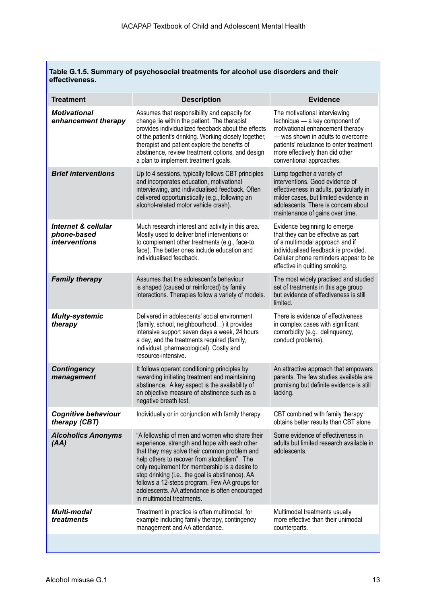**Table G.1.5. Summary of psychosocial treatments for alcohol use disorders and their effectiveness.**

| <b>Treatment</b>                                                      | <b>Description</b>                                                                                                                                                                                                                                                                                                                                                                                                                    | <b>Evidence</b>                                                                                                                                                                                                                                    |
|-----------------------------------------------------------------------|---------------------------------------------------------------------------------------------------------------------------------------------------------------------------------------------------------------------------------------------------------------------------------------------------------------------------------------------------------------------------------------------------------------------------------------|----------------------------------------------------------------------------------------------------------------------------------------------------------------------------------------------------------------------------------------------------|
| <b>Motivational</b><br>enhancement therapy                            | Assumes that responsibility and capacity for<br>change lie within the patient. The therapist<br>provides individualized feedback about the effects<br>of the patient's drinking. Working closely together,<br>therapist and patient explore the benefits of<br>abstinence, review treatment options, and design<br>a plan to implement treatment goals.                                                                               | The motivational interviewing<br>technique - a key component of<br>motivational enhancement therapy<br>- was shown in adults to overcome<br>patients' reluctance to enter treatment<br>more effectively than did other<br>conventional approaches. |
| <b>Brief interventions</b>                                            | Up to 4 sessions, typically follows CBT principles<br>and incorporates education, motivational<br>interviewing, and individualised feedback. Often<br>delivered opportunistically (e.g., following an<br>alcohol-related motor vehicle crash).                                                                                                                                                                                        | Lump together a variety of<br>interventions. Good evidence of<br>effectiveness in adults, particularly in<br>milder cases, but limited evidence in<br>adolescents. There is concern about<br>maintenance of gains over time.                       |
| <b>Internet &amp; cellular</b><br>phone-based<br><i>interventions</i> | Much research interest and activity in this area.<br>Mostly used to deliver brief interventions or<br>to complement other treatments (e.g., face-to<br>face). The better ones include education and<br>individualised feedback.                                                                                                                                                                                                       | Evidence beginning to emerge<br>that they can be effective as part<br>of a multimodal approach and if<br>individualised feedback is provided.<br>Cellular phone reminders appear to be<br>effective in quitting smoking.                           |
| <b>Family therapy</b>                                                 | Assumes that the adolescent's behaviour<br>is shaped (caused or reinforced) by family<br>interactions. Therapies follow a variety of models.                                                                                                                                                                                                                                                                                          | The most widely practised and studied<br>set of treatments in this age group<br>but evidence of effectiveness is still<br>limited.                                                                                                                 |
| <b>Multy-systemic</b><br>therapy                                      | Delivered in adolescents' social environment<br>(family, school, neighbourhood) it provides<br>intensive support seven days a week, 24 hours<br>a day, and the treatments required (family,<br>individual, pharmacological). Costly and<br>resource-intensive.                                                                                                                                                                        | There is evidence of effectiveness<br>in complex cases with significant<br>comorbidity (e.g., delinquency,<br>conduct problems).                                                                                                                   |
| <b>Contingency</b><br>management                                      | It follows operant conditioning principles by<br>rewarding initiating treatment and maintaining<br>abstinence. A key aspect is the availability of<br>an objective measure of abstinence such as a<br>negative breath test.                                                                                                                                                                                                           | An attractive approach that empowers<br>parents. The few studies available are<br>promising but definite evidence is still<br>lacking.                                                                                                             |
| <b>Cognitive behaviour</b><br>therapy (CBT)                           | Individually or in conjunction with family therapy                                                                                                                                                                                                                                                                                                                                                                                    | CBT combined with family therapy<br>obtains better results than CBT alone                                                                                                                                                                          |
| <b>Alcoholics Anonyms</b><br>(AA)                                     | "A fellowship of men and women who share their<br>experience, strength and hope with each other<br>that they may solve their common problem and<br>help others to recover from alcoholism". The<br>only requirement for membership is a desire to<br>stop drinking (i.e., the goal is abstinence). AA<br>follows a 12-steps program. Few AA groups for<br>adolescents. AA attendance is often encouraged<br>in multimodal treatments. | Some evidence of effectiveness in<br>adults but limited research available in<br>adolescents.                                                                                                                                                      |
| <b>Multi-modal</b><br>treatments                                      | Treatment in practice is often multimodal, for<br>example including family therapy, contingency<br>management and AA attendance.                                                                                                                                                                                                                                                                                                      | Multimodal treatments usually<br>more effective than their unimodal<br>counterparts.                                                                                                                                                               |
|                                                                       |                                                                                                                                                                                                                                                                                                                                                                                                                                       |                                                                                                                                                                                                                                                    |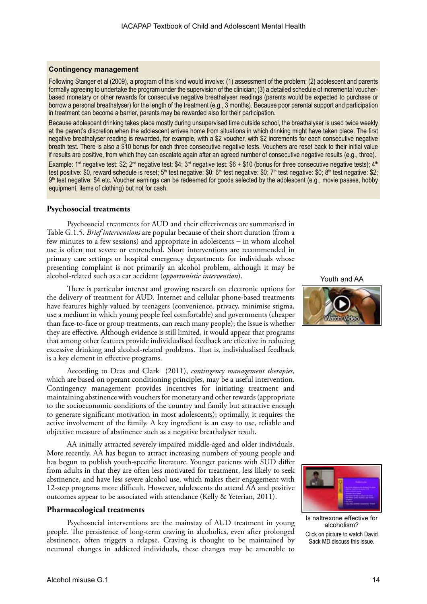#### **Contingency management**

Following Stanger et al (2009), a program of this kind would involve: (1) assessment of the problem; (2) adolescent and parents formally agreeing to undertake the program under the supervision of the clinician; (3) a detailed schedule of incremental voucherbased monetary or other rewards for consecutive negative breathalyser readings (parents would be expected to purchase or borrow a personal breathalyser) for the length of the treatment (e.g., 3 months). Because poor parental support and participation in treatment can become a barrier, parents may be rewarded also for their participation.

Because adolescent drinking takes place mostly during unsupervised time outside school, the breathalyser is used twice weekly at the parent's discretion when the adolescent arrives home from situations in which drinking might have taken place. The first negative breathalyser reading is rewarded, for example, with a \$2 voucher, with \$2 increments for each consecutive negative breath test. There is also a \$10 bonus for each three consecutive negative tests. Vouchers are reset back to their initial value if results are positive, from which they can escalate again after an agreed number of consecutive negative results (e.g., three). Example: 1<sup>st</sup> negative test: \$2; 2<sup>nd</sup> negative test: \$4; 3<sup>rd</sup> negative test: \$6 + \$10 (bonus for three consecutive negative tests); 4<sup>th</sup> test positive: \$0, reward schedule is reset; 5<sup>th</sup> test negative: \$0; 6<sup>th</sup> test negative: \$0; 7<sup>th</sup> test negative: \$0; 8<sup>th</sup> test negative: \$2; 9<sup>th</sup> test negative: \$4 etc. Voucher earnings can be redeemed for goods selected by the adolescent (e.g., movie passes, hobby equipment, items of clothing) but not for cash.

## **Psychosocial treatments**

Psychosocial treatments for AUD and their effectiveness are summarised in Table G.1.5. *Brief interventions* are popular because of their short duration (from a few minutes to a few sessions) and appropriate in adolescents − in whom alcohol use is often not severe or entrenched. Short interventions are recommended in primary care settings or hospital emergency departments for individuals whose presenting complaint is not primarily an alcohol problem, although it may be alcohol-related such as a car accident (*opportunistic intervention*).

There is particular interest and growing research on electronic options for the delivery of treatment for AUD. Internet and cellular phone-based treatments have features highly valued by teenagers (convenience, privacy, minimise stigma, use a medium in which young people feel comfortable) and governments (cheaper than face-to-face or group treatments, can reach many people); the issue is whether they are effective. Although evidence is still limited, it would appear that programs that among other features provide individualised feedback are effective in reducing excessive drinking and alcohol-related problems. That is, individualised feedback is a key element in effective programs.

According to Deas and Clark (2011), *contingency management therapies*, which are based on operant conditioning principles, may be a useful intervention. Contingency management provides incentives for initiating treatment and maintaining abstinence with vouchers for monetary and other rewards (appropriate to the socioeconomic conditions of the country and family but attractive enough to generate significant motivation in most adolescents); optimally, it requires the active involvement of the family. A key ingredient is an easy to use, reliable and objective measure of abstinence such as a negative breathalyser result.

AA initially attracted severely impaired middle-aged and older individuals. More recently, AA has begun to attract increasing numbers of young people and has begun to publish youth-specific literature. Younger patients with SUD differ from adults in that they are often less motivated for treatment, less likely to seek abstinence, and have less severe alcohol use, which makes their engagement with 12-step programs more difficult. However, adolescents do attend AA and positive outcomes appear to be associated with attendance (Kelly & Yeterian, 2011).

#### **Pharmacological treatments**

Psychosocial interventions are the mainstay of AUD treatment in young people. The persistence of long-term craving in alcoholics, even after prolonged abstinence, often triggers a relapse. Craving is thought to be maintained by neuronal changes in addicted individuals, these changes may be amenable to

Youth and AA





Is naltrexone effective for alcoholism? Click on picture to watch David Sack MD discuss this issue.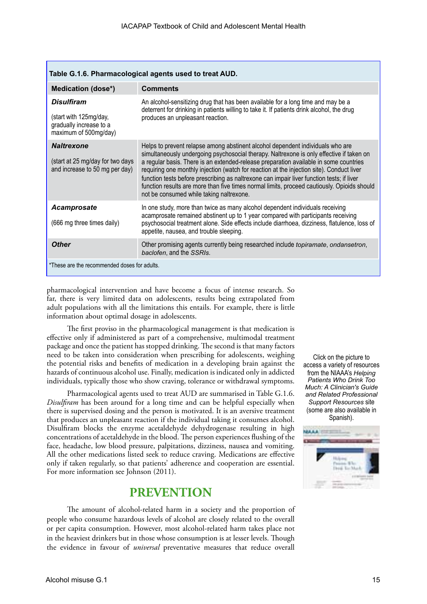| Table G.1.6. Pharmacological agents used to treat AUD.                                          |                                                                                                                                                                                                                                                                                                                                                                                                                                                                                                                                                                                                          |  |  |
|-------------------------------------------------------------------------------------------------|----------------------------------------------------------------------------------------------------------------------------------------------------------------------------------------------------------------------------------------------------------------------------------------------------------------------------------------------------------------------------------------------------------------------------------------------------------------------------------------------------------------------------------------------------------------------------------------------------------|--|--|
| <b>Medication (dose*)</b>                                                                       | <b>Comments</b>                                                                                                                                                                                                                                                                                                                                                                                                                                                                                                                                                                                          |  |  |
| <b>Disulfiram</b><br>(start with 125mg/day,<br>gradually increase to a<br>maximum of 500mg/day) | An alcohol-sensitizing drug that has been available for a long time and may be a<br>deterrent for drinking in patients willing to take it. If patients drink alcohol, the drug<br>produces an unpleasant reaction.                                                                                                                                                                                                                                                                                                                                                                                       |  |  |
| <b>Naltrexone</b><br>(start at 25 mg/day for two days<br>and increase to 50 mg per day)         | Helps to prevent relapse among abstinent alcohol dependent individuals who are<br>simultaneously undergoing psychosocial therapy. Naltrexone is only effective if taken on<br>a regular basis. There is an extended-release preparation available in some countries<br>requiring one monthly injection (watch for reaction at the injection site). Conduct liver<br>function tests before prescribing as naltrexone can impair liver function tests; if liver<br>function results are more than five times normal limits, proceed cautiously. Opioids should<br>not be consumed while taking naltrexone. |  |  |
| <b>Acamprosate</b><br>(666 mg three times daily)                                                | In one study, more than twice as many alcohol dependent individuals receiving<br>acamprosate remained abstinent up to 1 year compared with participants receiving<br>psychosocial treatment alone. Side effects include diarrhoea, dizziness, flatulence, loss of<br>appetite, nausea, and trouble sleeping.                                                                                                                                                                                                                                                                                             |  |  |
| <b>Other</b>                                                                                    | Other promising agents currently being researched include <i>topiramate</i> , ondansetron,<br>baclofen, and the SSRIs.                                                                                                                                                                                                                                                                                                                                                                                                                                                                                   |  |  |
| *These are the recommended doses for adults.                                                    |                                                                                                                                                                                                                                                                                                                                                                                                                                                                                                                                                                                                          |  |  |

pharmacological intervention and have become a focus of intense research. So far, there is very limited data on adolescents, results being extrapolated from adult populations with all the limitations this entails. For example, there is little information about optimal dosage in adolescents.

The first proviso in the pharmacological management is that medication is effective only if administered as part of a comprehensive, multimodal treatment package and once the patient has stopped drinking. The second is that many factors need to be taken into consideration when prescribing for adolescents, weighing the potential risks and benefits of medication in a developing brain against the hazards of continuous alcohol use. Finally, medication is indicated only in addicted individuals, typically those who show craving, tolerance or withdrawal symptoms.

Pharmacological agents used to treat AUD are summarised in Table G.1.6. *Disulfiram* has been around for a long time and can be helpful especially when there is supervised dosing and the person is motivated. It is an aversive treatment that produces an unpleasant reaction if the individual taking it consumes alcohol. Disulfiram blocks the enzyme acetaldehyde dehydrogenase resulting in high concentrations of acetaldehyde in the blood. The person experiences flushing of the face, headache, low blood pressure, palpitations, dizziness, nausea and vomiting. All the other medications listed seek to reduce craving. Medications are effective only if taken regularly, so that patients' adherence and cooperation are essential. For more information see Johnson (2011).

## **PREVENTION**

The amount of alcohol-related harm in a society and the proportion of people who consume hazardous levels of alcohol are closely related to the overall or per capita consumption. However, most alcohol-related harm takes place not in the heaviest drinkers but in those whose consumption is at lesser levels. Though the evidence in favour of *universal* preventative measures that reduce overall

Click on the picture to access a variety of resources from the NIAAA's *Helping Patients Who Drink Too Much: A Clinician's Guide and Related Professional Support Resources* site (some are also available in Spanish).

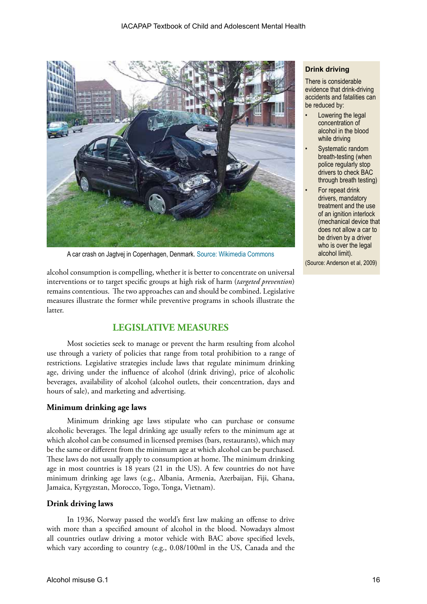

A car crash on Jagtvej in Copenhagen, Denmark. [Source: Wikimedia Commons](http://commons.wikimedia.org/wiki/Car_crash)

alcohol consumption is compelling, whether it is better to concentrate on universal interventions or to target specific groups at high risk of harm (*targeted prevention*) remains contentious. The two approaches can and should be combined. Legislative measures illustrate the former while preventive programs in schools illustrate the latter.

## **LEGISLATIVE MEASURES**

Most societies seek to manage or prevent the harm resulting from alcohol use through a variety of policies that range from total prohibition to a range of restrictions. Legislative strategies include laws that regulate minimum drinking age, driving under the influence of alcohol (drink driving), price of alcoholic beverages, availability of alcohol (alcohol outlets, their concentration, days and hours of sale), and marketing and advertising.

## **Minimum drinking age laws**

Minimum drinking age laws stipulate who can purchase or consume alcoholic beverages. The legal drinking age usually refers to the minimum age at which alcohol can be consumed in licensed premises (bars, restaurants), which may be the same or different from the minimum age at which alcohol can be purchased. These laws do not usually apply to consumption at home. The minimum drinking age in most countries is 18 years (21 in the US). A few countries do not have minimum drinking age laws (e.g., Albania, Armenia, Azerbaijan, Fiji, Ghana, Jamaica, Kyrgyzstan, Morocco, Togo, Tonga, Vietnam).

## **Drink driving laws**

In 1936, Norway passed the world's first law making an offense to drive with more than a specified amount of alcohol in the blood. Nowadays almost all countries outlaw driving a motor vehicle with BAC above specified levels, which vary according to country (e.g., 0.08/100ml in the US, Canada and the

## **Drink driving**

There is considerable evidence that drink-driving accidents and fatalities can be reduced by:

- Lowering the legal concentration of alcohol in the blood while driving
- Systematic random breath-testing (when police regularly stop drivers to check BAC through breath testing)
- For repeat drink drivers, mandatory treatment and the use of an ignition interlock (mechanical device that does not allow a car to be driven by a driver who is over the legal alcohol limit).

(Source: Anderson et al, 2009)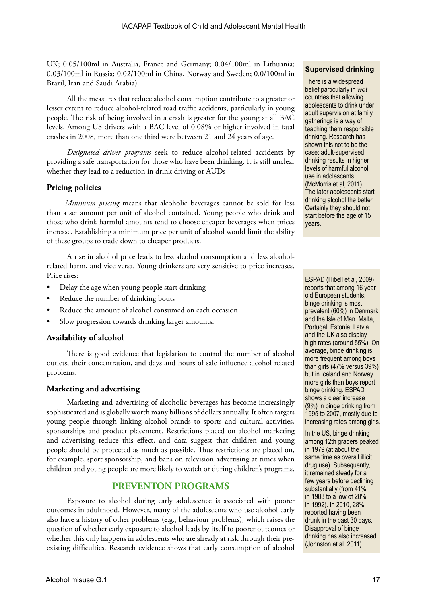UK; 0.05/100ml in Australia, France and Germany; 0.04/100ml in Lithuania; 0.03/100ml in Russia; 0.02/100ml in China, Norway and Sweden; 0.0/100ml in Brazil, Iran and Saudi Arabia).

All the measures that reduce alcohol consumption contribute to a greater or lesser extent to reduce alcohol-related road traffic accidents, particularly in young people. The risk of being involved in a crash is greater for the young at all BAC levels. Among US drivers with a BAC level of 0.08% or higher involved in fatal crashes in 2008, more than one third were between 21 and 24 years of age.

*Designated driver programs* seek to reduce alcohol-related accidents by providing a safe transportation for those who have been drinking. It is still unclear whether they lead to a reduction in drink driving or AUDs

## **Pricing policies**

*Minimum pricing* means that alcoholic beverages cannot be sold for less than a set amount per unit of alcohol contained. Young people who drink and those who drink harmful amounts tend to choose cheaper beverages when prices increase. Establishing a minimum price per unit of alcohol would limit the ability of these groups to trade down to cheaper products.

A rise in alcohol price leads to less alcohol consumption and less alcoholrelated harm, and vice versa. Young drinkers are very sensitive to price increases. Price rises:

- Delay the age when young people start drinking
- Reduce the number of drinking bouts
- Reduce the amount of alcohol consumed on each occasion
- Slow progression towards drinking larger amounts.

## **Availability of alcohol**

There is good evidence that legislation to control the number of alcohol outlets, their concentration, and days and hours of sale influence alcohol related problems.

## **Marketing and advertising**

Marketing and advertising of alcoholic beverages has become increasingly sophisticated and is globally worth many billions of dollars annually. It often targets young people through linking alcohol brands to sports and cultural activities, sponsorships and product placement. Restrictions placed on alcohol marketing and advertising reduce this effect, and data suggest that children and young people should be protected as much as possible. Thus restrictions are placed on, for example, sport sponsorship, and bans on television advertising at times when children and young people are more likely to watch or during children's programs.

## **PREVENTON PROGRAMS**

Exposure to alcohol during early adolescence is associated with poorer outcomes in adulthood. However, many of the adolescents who use alcohol early also have a history of other problems (e.g., behaviour problems), which raises the question of whether early exposure to alcohol leads by itself to poorer outcomes or whether this only happens in adolescents who are already at risk through their preexisting difficulties. Research evidence shows that early consumption of alcohol

## **Supervised drinking**

There is a widespread belief particularly in *wet* countries that allowing adolescents to drink under adult supervision at family gatherings is a way of teaching them responsible drinking. Research has shown this not to be the case: adult-supervised drinking results in higher levels of harmful alcohol use in adolescents (McMorris et al, 2011). The later adolescents start drinking alcohol the better. Certainly they should not start before the age of 15 years.

ESPAD (Hibell et al, 2009) reports that among 16 year old European students, binge drinking is most prevalent (60%) in Denmark and the Isle of Man. Malta, Portugal, Estonia, Latvia and the UK also display high rates (around 55%). On average, binge drinking is more frequent among boys than girls (47% versus 39%) but in Iceland and Norway more girls than boys report binge drinking. ESPAD shows a clear increase (9%) in binge drinking from 1995 to 2007, mostly due to increasing rates among girls.

In the US, binge drinking among 12th graders peaked in 1979 (at about the same time as overall illicit drug use). Subsequently, it remained steady for a few years before declining substantially (from 41% in 1983 to a low of 28% in 1992). In 2010, 28% reported having been drunk in the past 30 days. Disapproval of binge drinking has also increased (Johnston et al. 2011).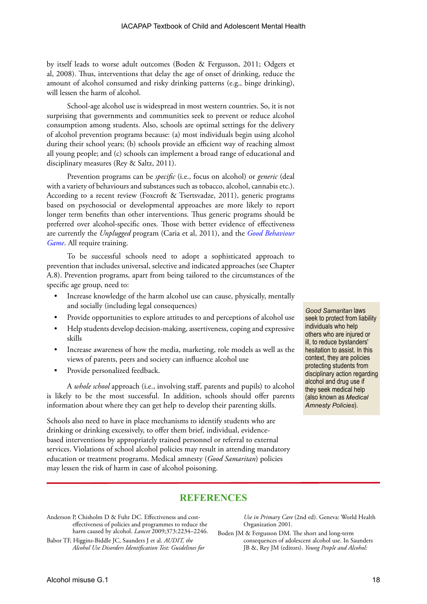by itself leads to worse adult outcomes (Boden & Fergusson, 2011; Odgers et al, 2008). Thus, interventions that delay the age of onset of drinking, reduce the amount of alcohol consumed and risky drinking patterns (e.g., binge drinking), will lessen the harm of alcohol.

School-age alcohol use is widespread in most western countries. So, it is not surprising that governments and communities seek to prevent or reduce alcohol consumption among students. Also, schools are optimal settings for the delivery of alcohol prevention programs because: (a) most individuals begin using alcohol during their school years; (b) schools provide an efficient way of reaching almost all young people; and (c) schools can implement a broad range of educational and disciplinary measures (Rey & Saltz, 2011).

Prevention programs can be *specific* (i.e., focus on alcohol) or *generic* (deal with a variety of behaviours and substances such as tobacco, alcohol, cannabis etc.). According to a recent review (Foxcroft & Tsertsvadze, 2011), generic programs based on psychosocial or developmental approaches are more likely to report longer term benefits than other interventions. Thus generic programs should be preferred over alcohol-specific ones. Those with better evidence of effectiveness are currently the *Unplugged* program (Caria et al, 2011), and the *[Good Behaviour](http://www.evidencebasedprograms.org/static/pdfs/GBG%20Manual.pdf)  [Game](http://www.evidencebasedprograms.org/static/pdfs/GBG%20Manual.pdf)*. All require training.

To be successful schools need to adopt a sophisticated approach to prevention that includes universal, selective and indicated approaches (see Chapter A.8). Prevention programs, apart from being tailored to the circumstances of the specific age group, need to:

- Increase knowledge of the harm alcohol use can cause, physically, mentally and socially (including legal consequences)
- Provide opportunities to explore attitudes to and perceptions of alcohol use
- Help students develop decision-making, assertiveness, coping and expressive skills
- Increase awareness of how the media, marketing, role models as well as the views of parents, peers and society can influence alcohol use
- Provide personalized feedback.

A *whole school* approach (i.e., involving staff, parents and pupils) to alcohol is likely to be the most successful. In addition, schools should offer parents information about where they can get help to develop their parenting skills.

Schools also need to have in place mechanisms to identify students who are drinking or drinking excessively, to offer them brief, individual, evidencebased interventions by appropriately trained personnel or referral to external services. Violations of school alcohol policies may result in attending mandatory education or treatment programs. Medical amnesty (*Good Samaritan*) policies may lessen the risk of harm in case of alcohol poisoning.

*Good Samaritan* laws seek to protect from liability individuals who help others who are injured or ill, to reduce bystanders' hesitation to assist. In this context, they are policies protecting students from disciplinary action regarding alcohol and drug use if they seek medical help (also known as *Medical Amnesty Policies*).

## **REFERENCES**

- Anderson P, Chisholm D & Fuhr DC. Effectiveness and costeffectiveness of policies and programmes to reduce the harm caused by alcohol. *Lancet* 2009;373:2234–2246.
- Babor TF, Higgins-Biddle JC, Saunders J et al. *AUDIT, the Alcohol Use Disorders Identification Test: Guidelines for*

*Use in Primary Care* (2nd ed). Geneva: World Health Organization 2001.

Boden JM & Fergusson DM. The short and long-term consequences of adolescent alcohol use. In Saunders JB &, Rey JM (editors). *Young People and Alcohol:*